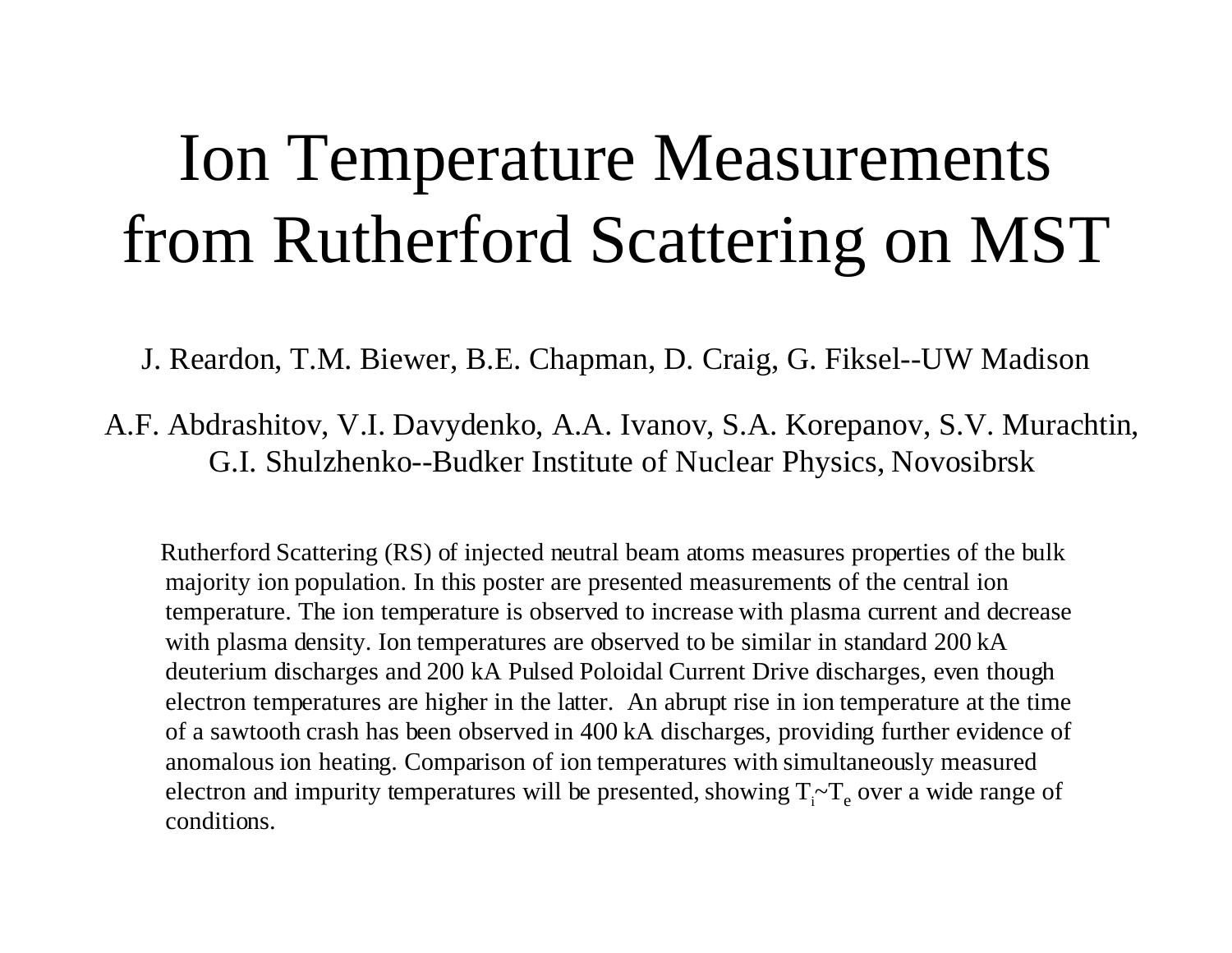# Ion Temperature Measurements from Rutherford Scattering on MST

J. Reardon, T.M. Biewer, B.E. Chapman, D. Craig, G. Fiksel--UW Madison

A.F. Abdrashitov, V.I. Davydenko, A.A. Ivanov, S.A. Korepanov, S.V. Murachtin, G.I. Shulzhenko--Budker Institute of Nuclear Physics, Novosibrsk

 Rutherford Scattering (RS) of injected neutral beam atoms measures properties of the bulk majority ion population. In this poster are presented measurements of the central ion temperature. The ion temperature is observed to increase with plasma current and decrease with plasma density. Ion temperatures are observed to be similar in standard 200 kA deuterium discharges and 200 kA Pulsed Poloidal Current Drive discharges, even though electron temperatures are higher in the latter. An abrupt rise in ion temperature at the time of a sawtooth crash has been observed in 400 kA discharges, providing further evidence of anomalous ion heating. Comparison of ion temperatures with simultaneously measured electron and impurity temperatures will be presented, showing  $T - T_e$  over a wide range of conditions.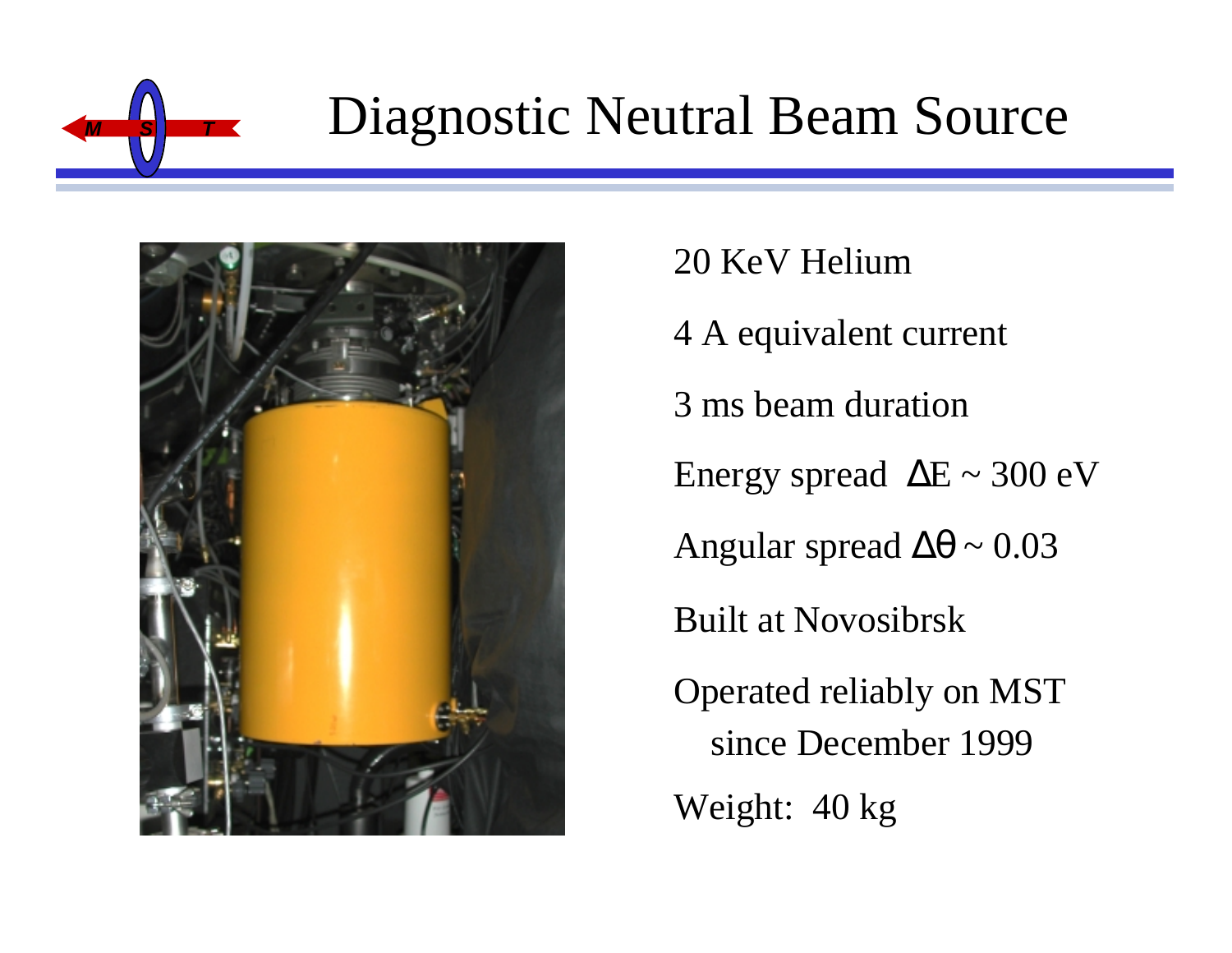

## **Diagnostic Neutral Beam Source**



20 KeV Helium 4 A equivalent current 3 ms beam duration Energy spread  $\Delta E \sim 300 \text{ eV}$ Angular spread  $\Delta\theta \sim 0.03$ Built at Novosibrsk Operated reliably on MST since December 1999 Weight: 40 kg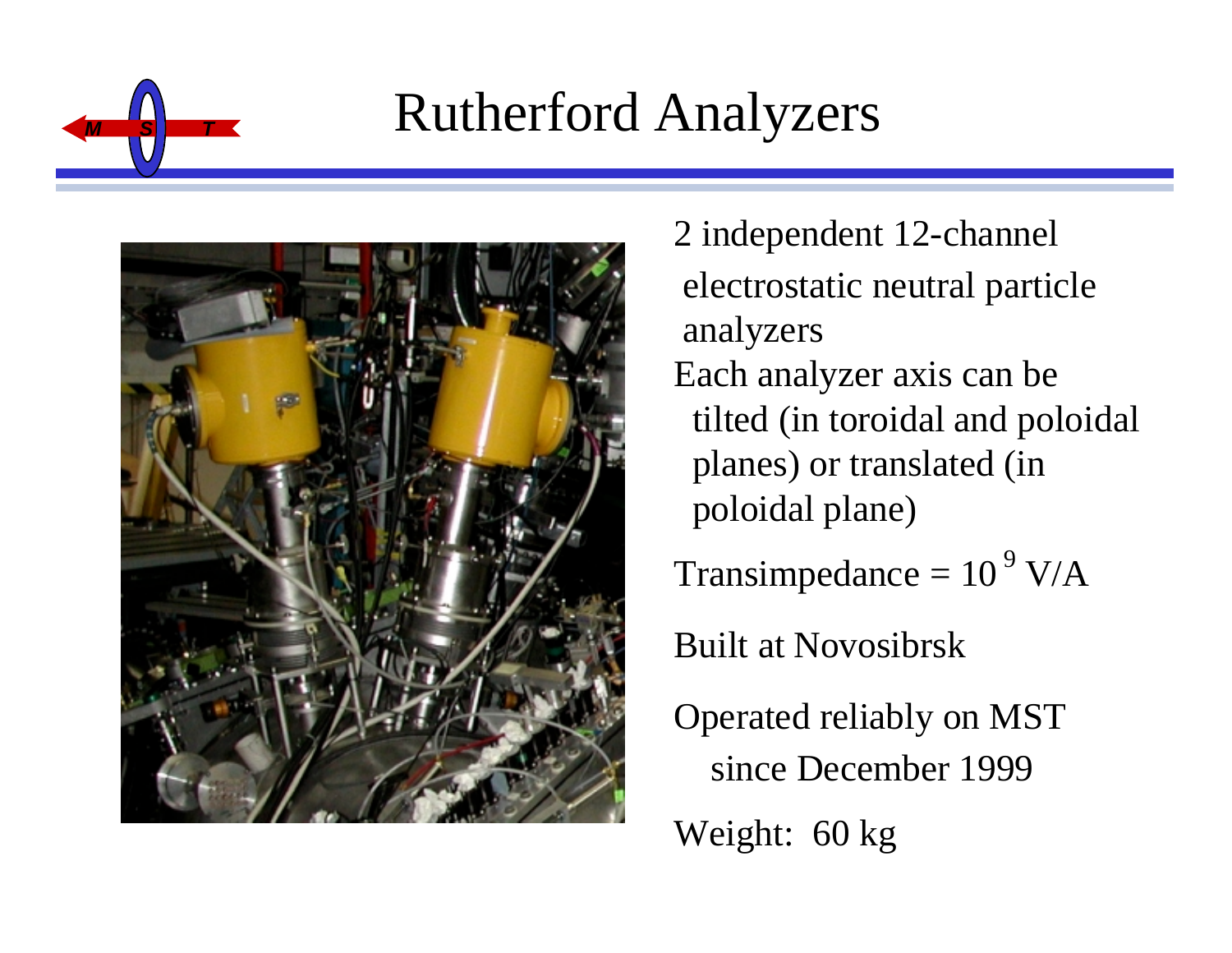

## **Rutherford Analyzers**



2 independent 12-channel electrostatic neutral particle analyzers Each analyzer axis can be tilted (in toroidal and poloidal planes) or translated (in poloidal plane) Transimpedance =  $10^9$  V/A Built at Novosibrsk Operated reliably on MST since December 1999 Weight: 60 kg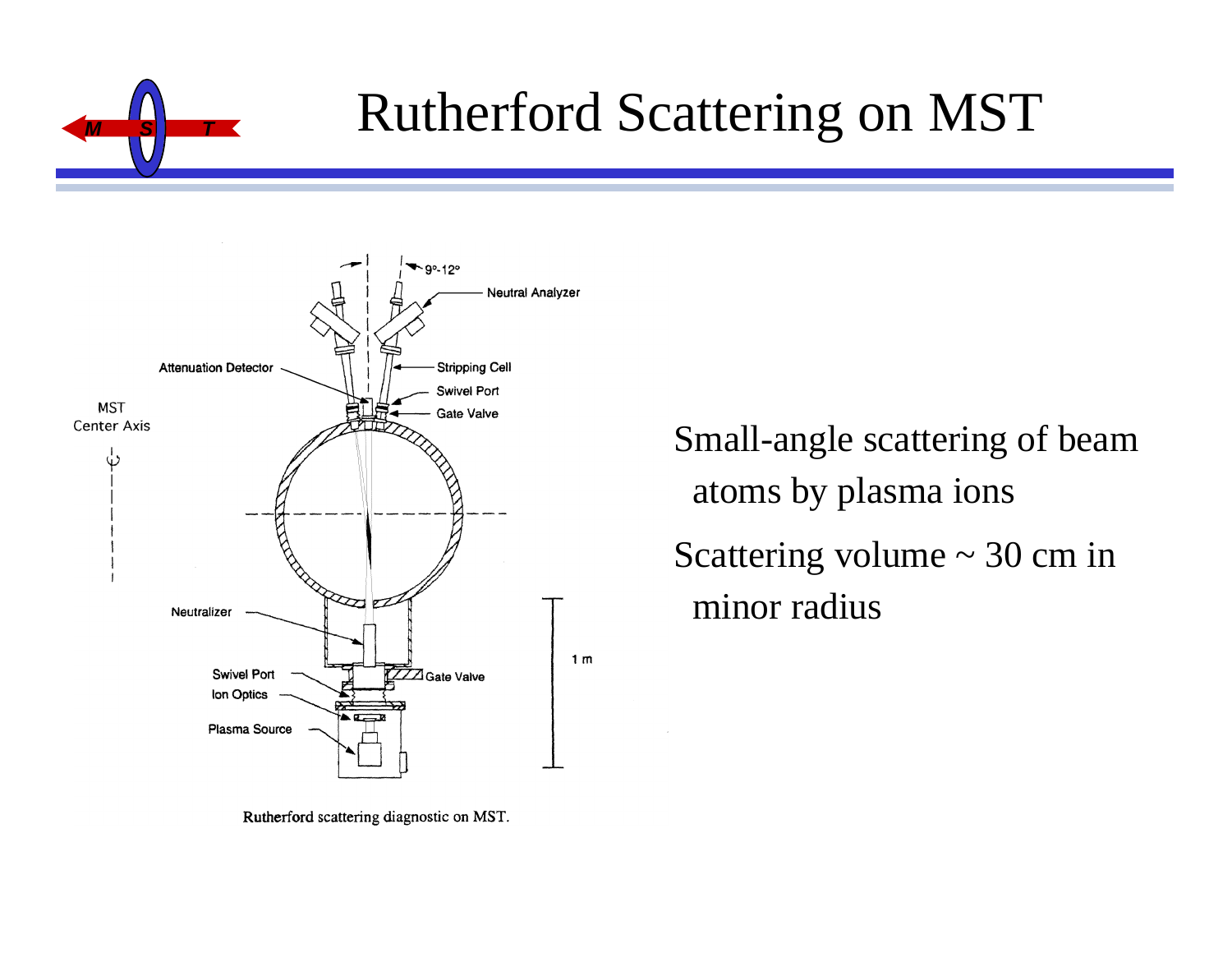

## **Rutherford Scattering on MST**



Rutherford scattering diagnostic on MST.

Small-angle scattering of beam atoms by plasma ions Scattering volume  $\sim$  30 cm in minor radius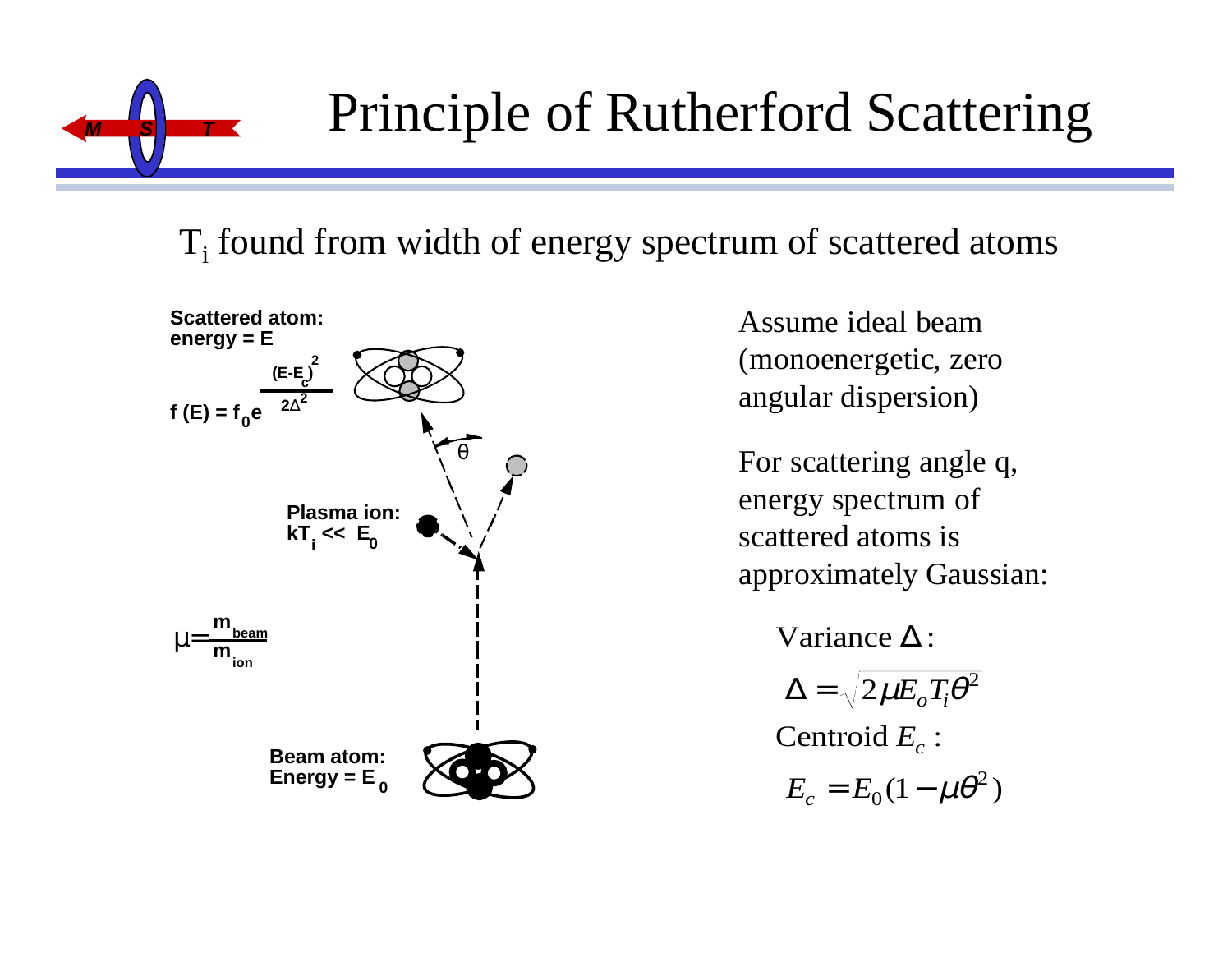

## **Principle of Rutherford Scattering**

### $T<sub>i</sub>$  found from width of energy spectrum of scattered atoms



Assume ideal beam (monoenergetic, zero angular dispersion)

For scattering angle q, energy spectrum of scattered atoms is approximately Gaussian:

Variance  $\Delta$  :

 $\Delta = \sqrt{2\mu E_o T_i \theta^2}$ 

Centroid  $E_c$  :

 $= E_0(1 E_c = E_0(1 - \mu\theta^2)$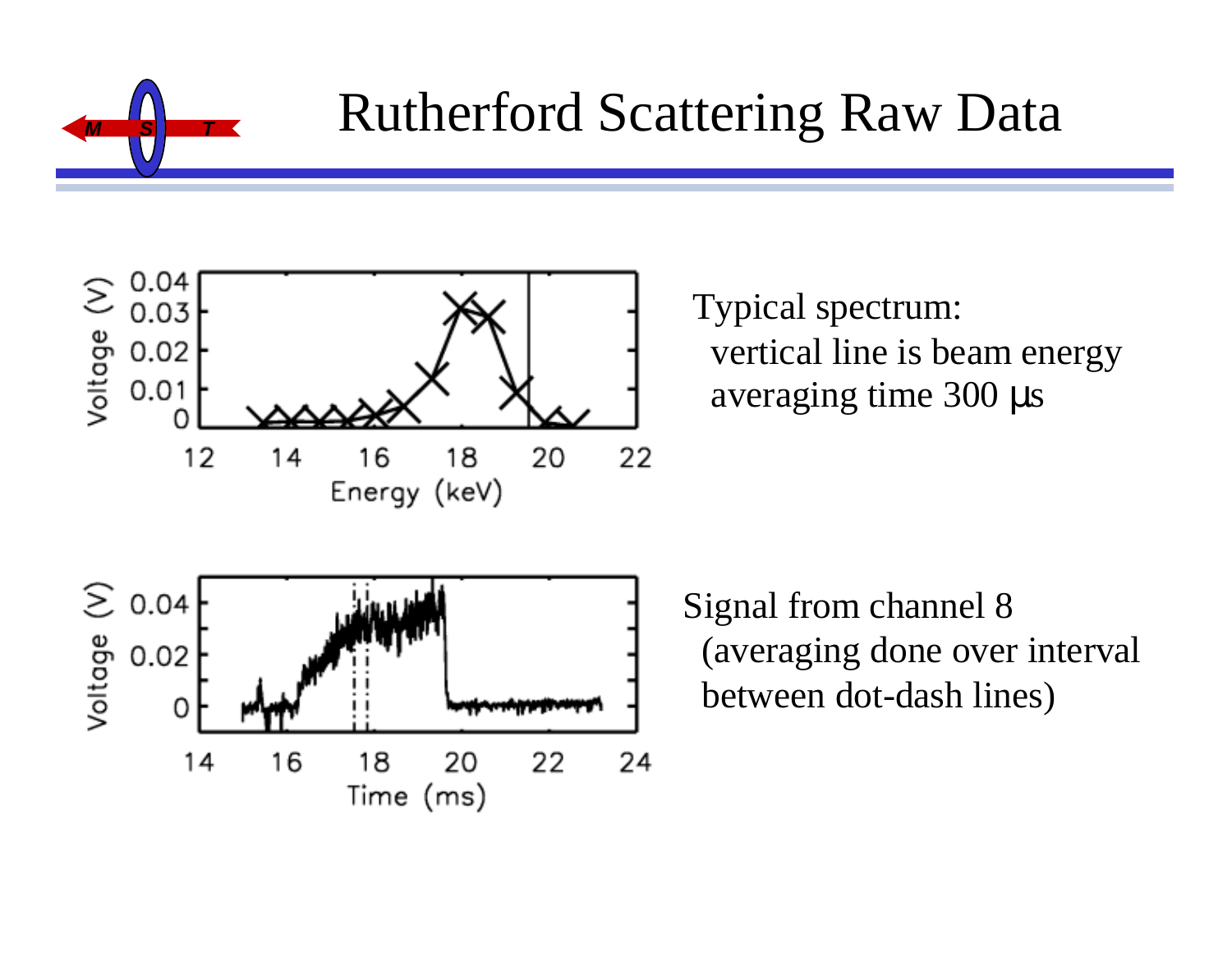

## **Rutherford Scattering Raw Data**



Typical spectrum: vertical line is beam energy averaging time 300 µ s

Signal from channel 8 (averaging done over interval between dot-dash lines)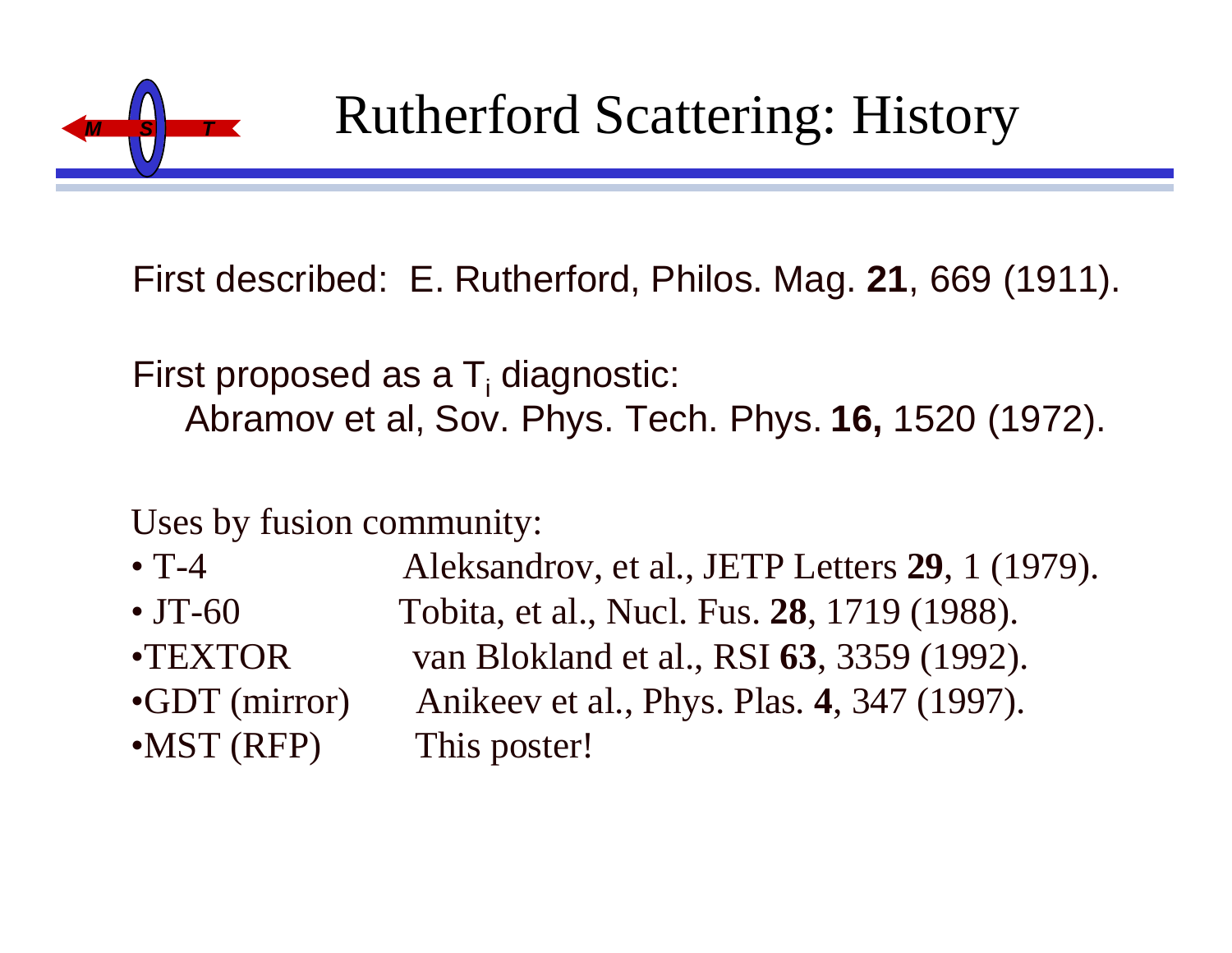

First described: E. Rutherford, Philos. Mag. **21**, 669 (1911).

First proposed as a T<sub>i</sub> diagnostic: Abramov et al, Sov. Phys. Tech. Phys. **16,** 1520 (1972).

Uses by fusion community:

- T-4 Aleksandrov, et al., JETP Letters **29**, 1 (1979).
- JT-60 Tobita, et al., Nucl. Fus. **28**, 1719 (1988).
- 
- 
- •MST (RFP) This poster!

•TEXTOR van Blokland et al., RSI **63**, 3359 (1992). •GDT (mirror) Anikeev et al., Phys. Plas. **4**, 347 (1997).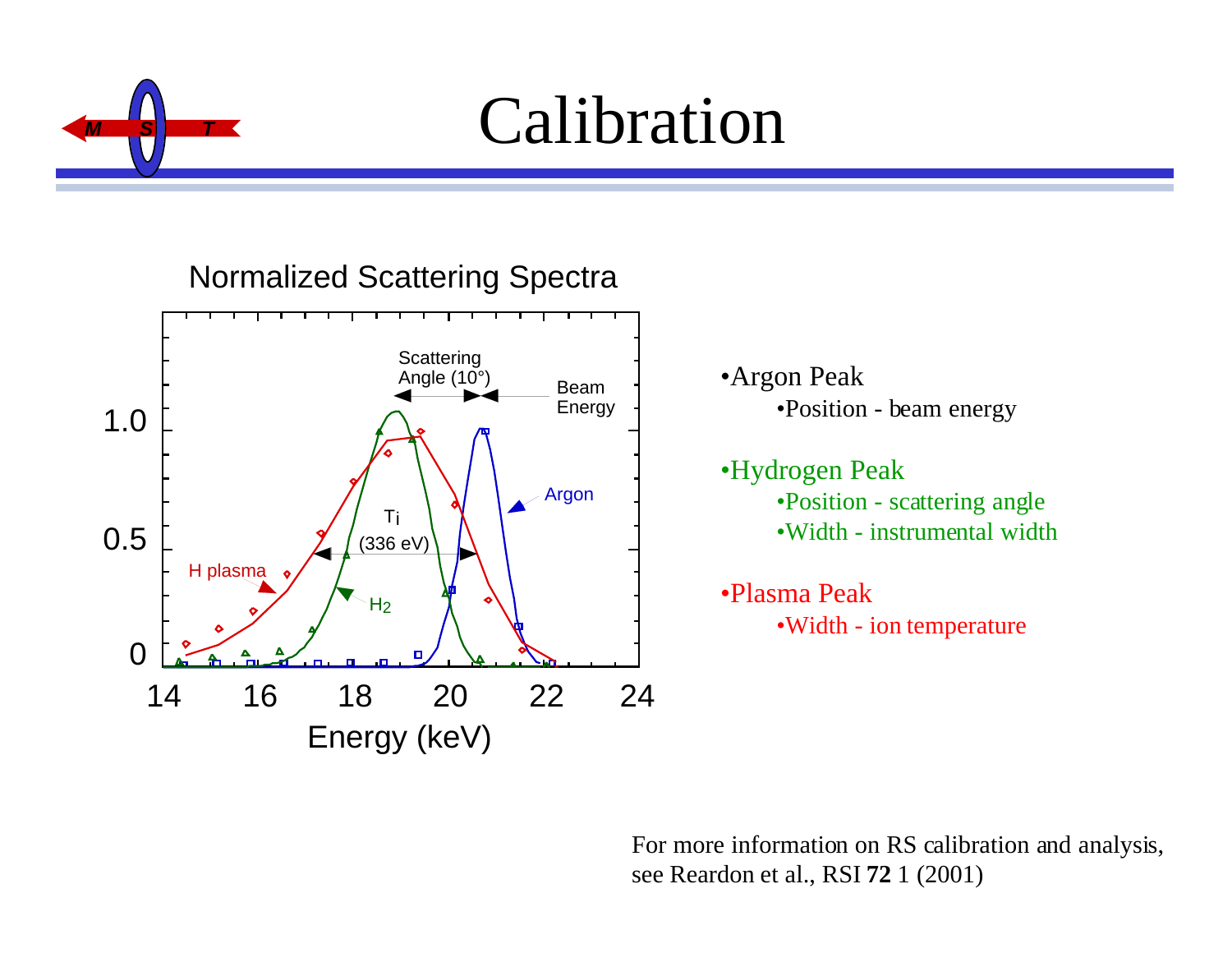

# $Calibration$

#### Normalized Scattering Spectra



•Argon Peak •Position - beam energy

•Hydrogen Peak •Position - scattering angle •Width - instrumental width

•Plasma Peak •Width - ion temperature

For more information on RS calibration and analysis, see Reardon et al., RSI **72** 1 (2001)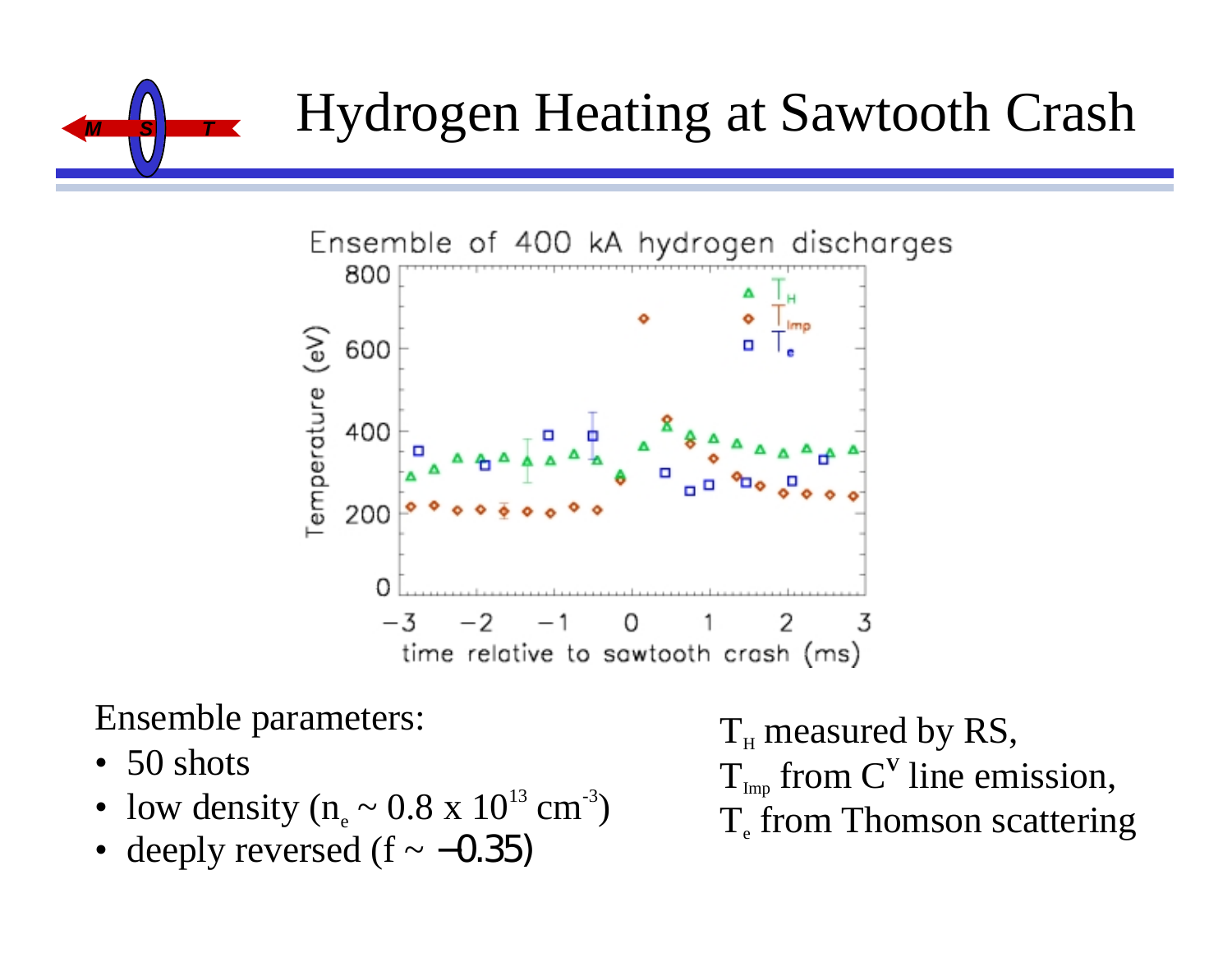



Ensemble parameters:

- 50 shots
- low density ( $n_e \sim 0.8 \times 10^{13} \text{ cm}^{-3}$ )
- deeply reversed  $(f \sim -0.35)$

 ${\rm T}_{\scriptscriptstyle\rm H}$  measured by RS,  $T_{_{\text{Imp}}}$  from  $C^V$  line emission,  $T_{\rm e}$  from Thomson scattering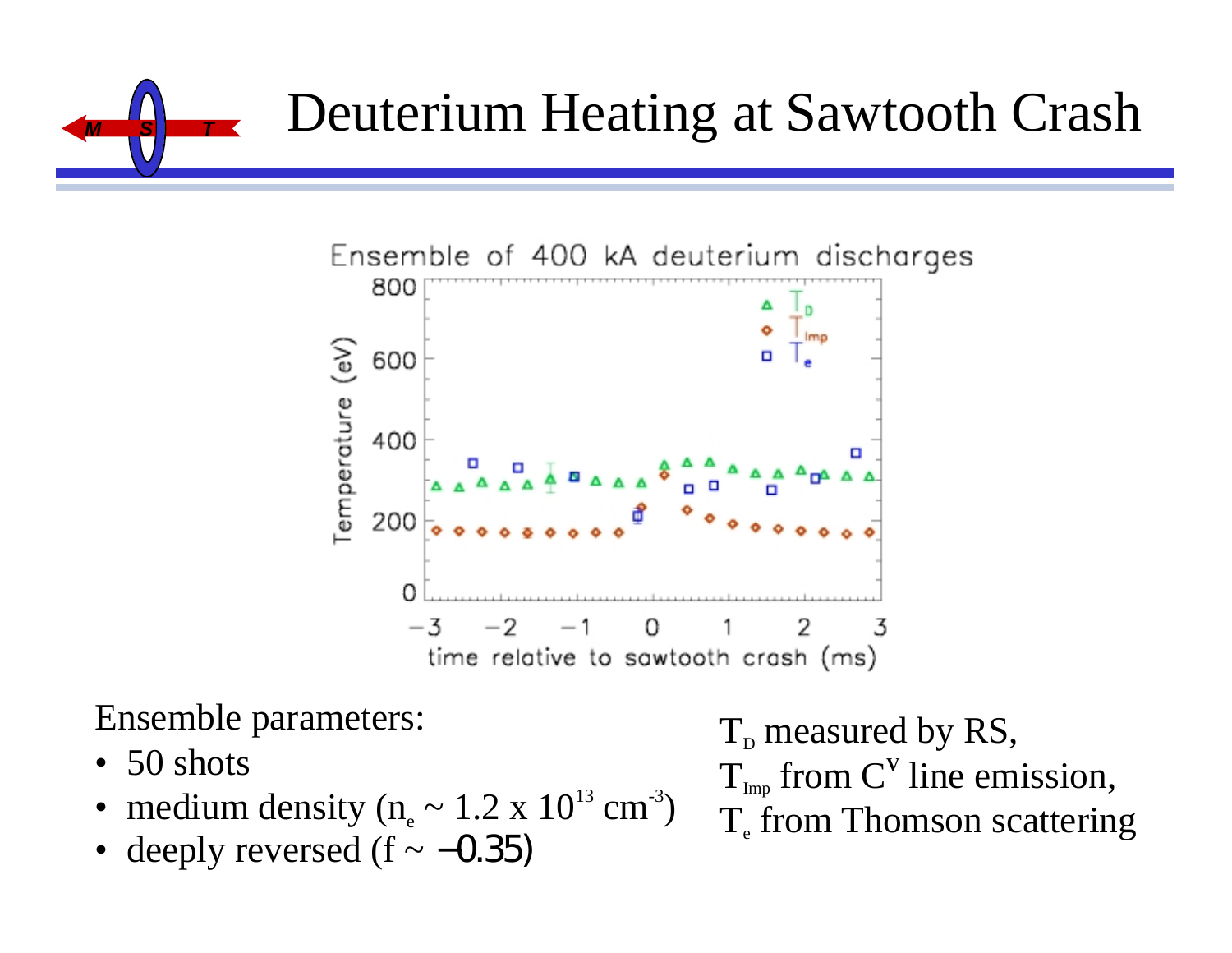



Ensemble parameters:

- 50 shots
- medium density ( $n_e \sim 1.2 \times 10^{13} \text{ cm}^3$ )
- deeply reversed  $(f \sim -0.35)$

 ${\rm T}_{\scriptscriptstyle{\rm D}}$  measured by RS,  $T_{_{\text{Imp}}}$  from  $C^V$  line emission,  $T_{\rm e}$  from Thomson scattering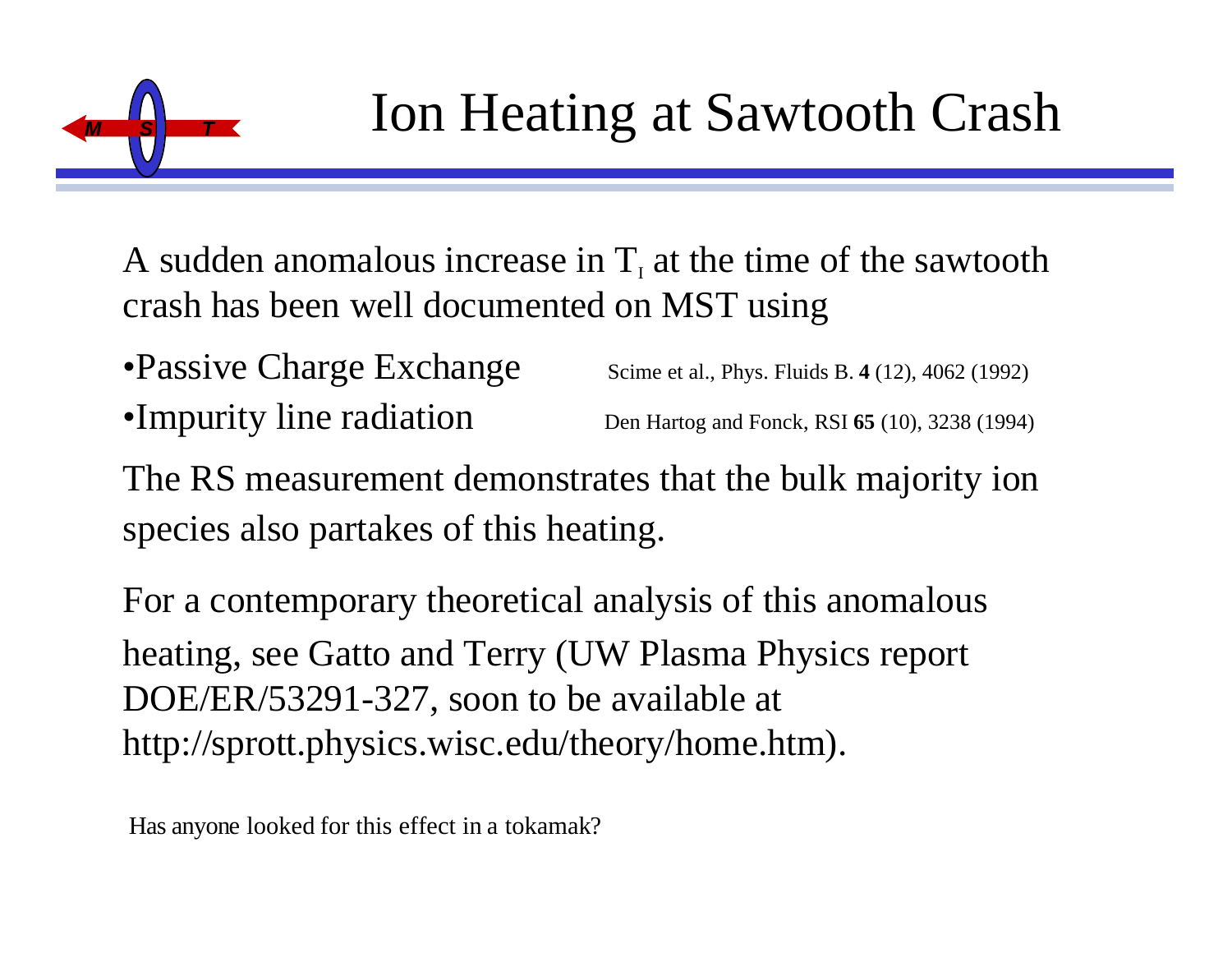

A sudden anomalous increase in  $T<sub>i</sub>$  at the time of the sawtooth crash has been well documented on MST using

- •Passive Charge Exchange Scime et al., Phys. Fluids B. 4 (12), 4062 (1992) •Impurity line radiation Den Hartog and Fonck, RSI **<sup>65</sup>** (10), 3238 (1994)
- The RS measurement demonstrates that the bulk majority ion species also partakes of this heating.

For a contemporary theoretical analysis of this anomalous heating, see Gatto and Terry (UW Plasma Physics report DOE/ER/53291-327, soon to be available at http://sprott.physics.wisc.edu/theory/home.htm).

Has anyone looked for this effect in a tokamak?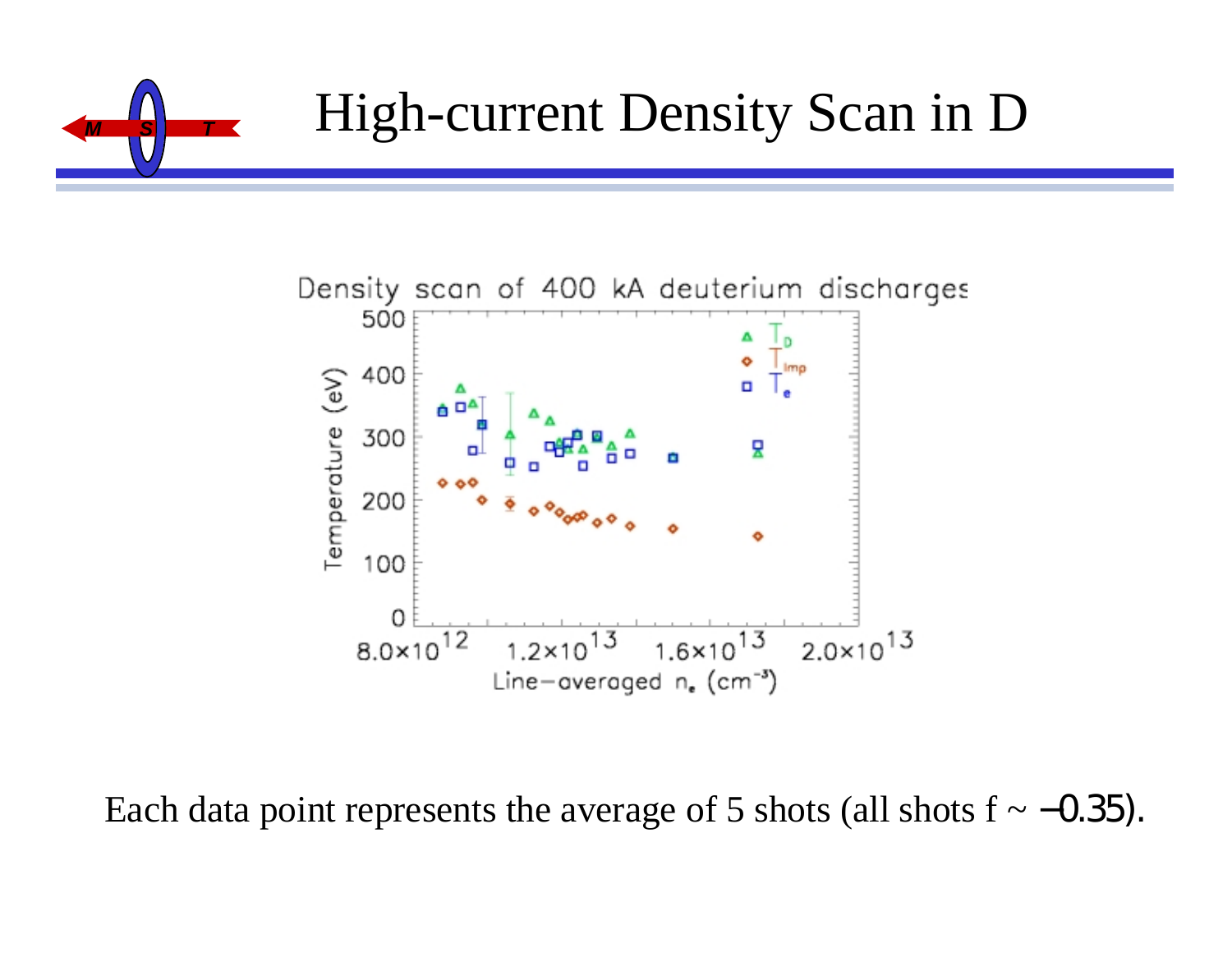



Each data point represents the average of 5 shots (all shots  $f \sim -0.35$ ).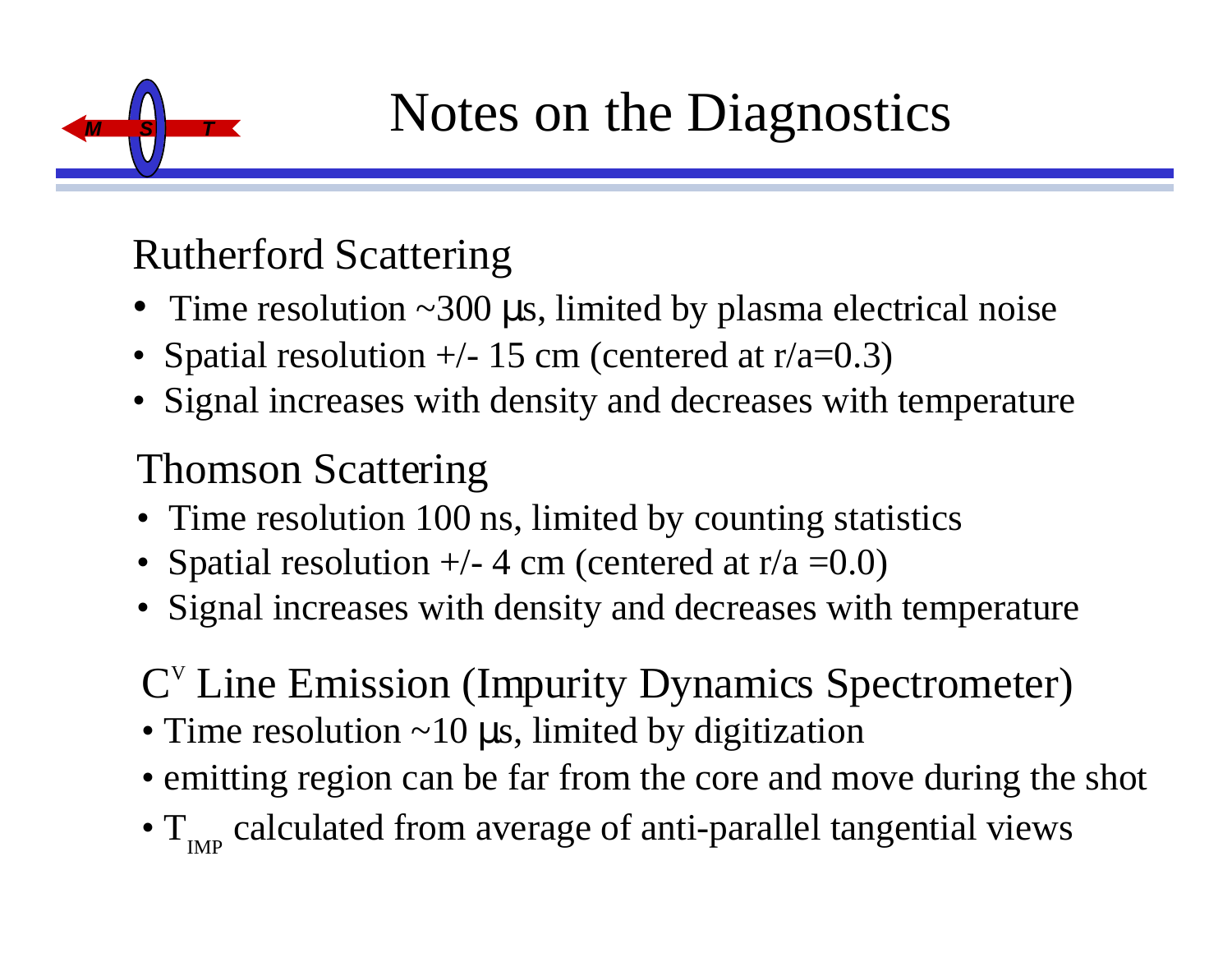

### Rutherford Scattering

- Time resolution ~300 µs, limited by plasma electrical noise
- Spatial resolution  $+/- 15$  cm (centered at  $r/a=0.3$ )
- Signal increases with density and decreases with temperature

### Thomson Scattering

- Time resolution 100 ns, limited by counting statistics
- Spatial resolution  $+/- 4$  cm (centered at r/a = 0.0)
- Signal increases with density and decreases with temperature

### C V Line Emission (Impurity Dynamics Spectrometer)

- Time resolution ~10 µs, limited by digitization
- emitting region can be far from the core and move during the shot
- $\bullet$  T  $_{\textrm{\tiny{IMP}}}$  calculated from average of anti-parallel tangential views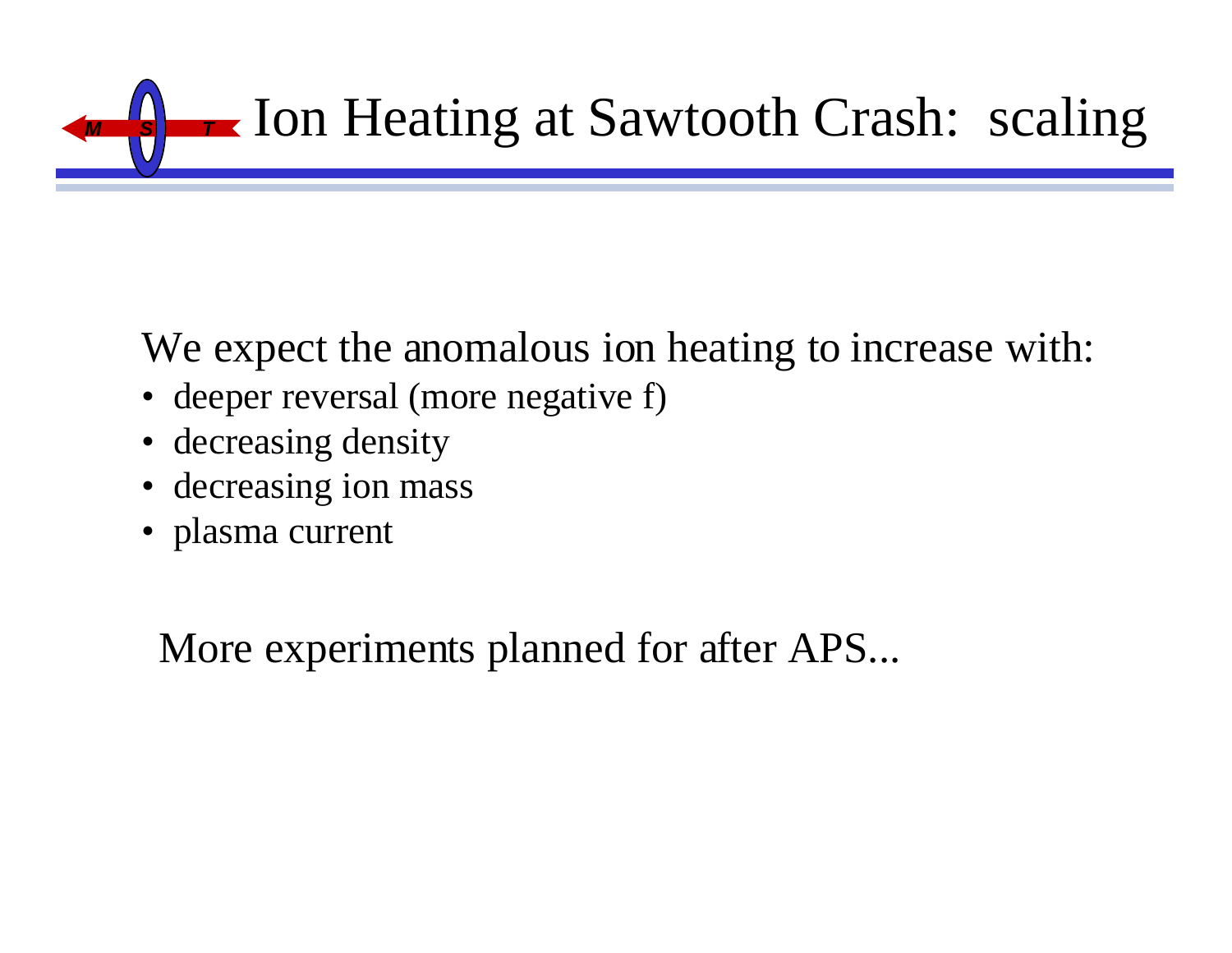

We expect the anomalous ion heating to increase with:

- deeper reversal (more negative f)
- decreasing density
- decreasing ion mass
- plasma current

More experiments planned for after APS...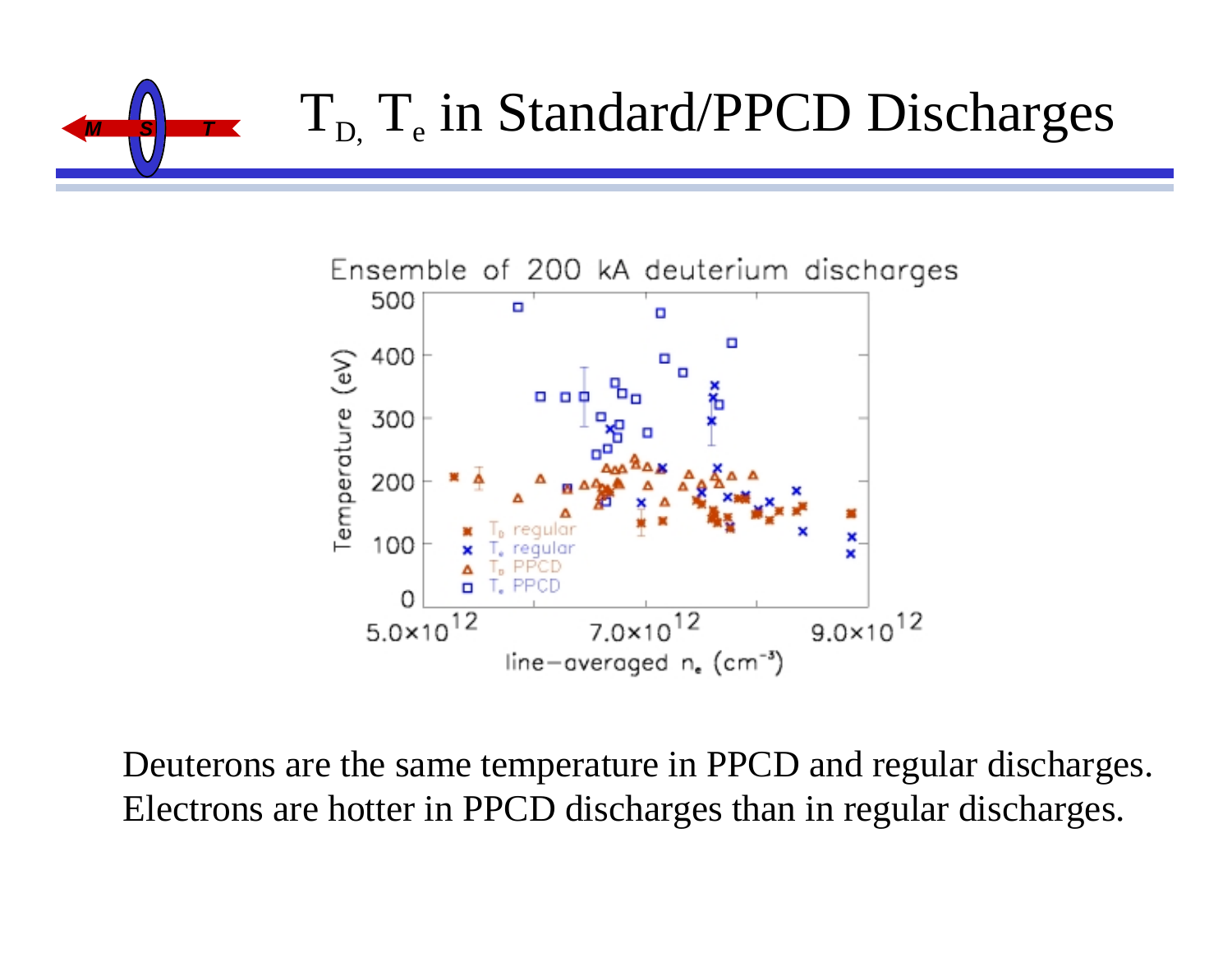



Deuterons are the same temperature in PPCD and regular discharges. Electrons are hotter in PPCD discharges than in regular discharges.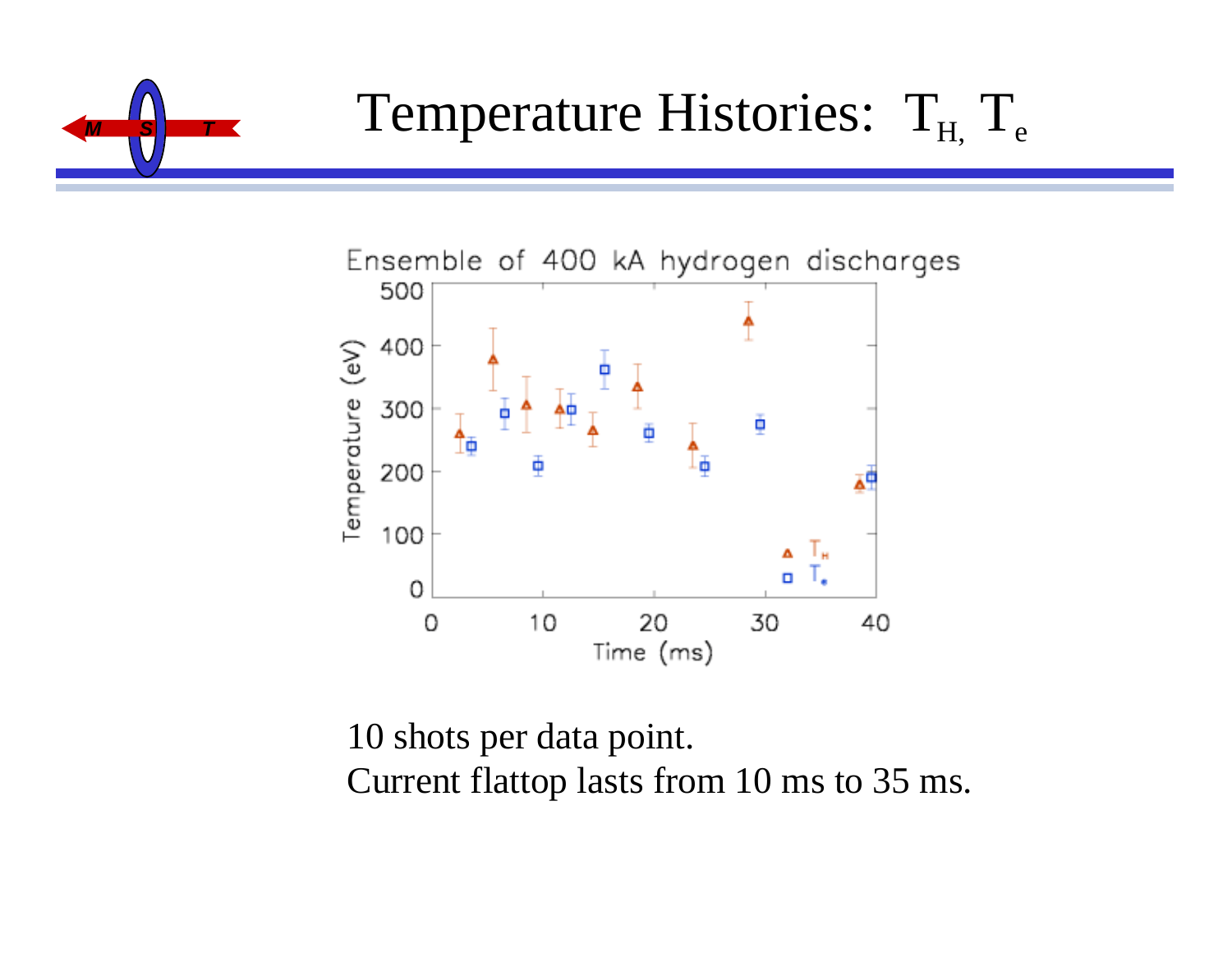



10 shots per data point. Current flattop lasts from 10 ms to 35 ms.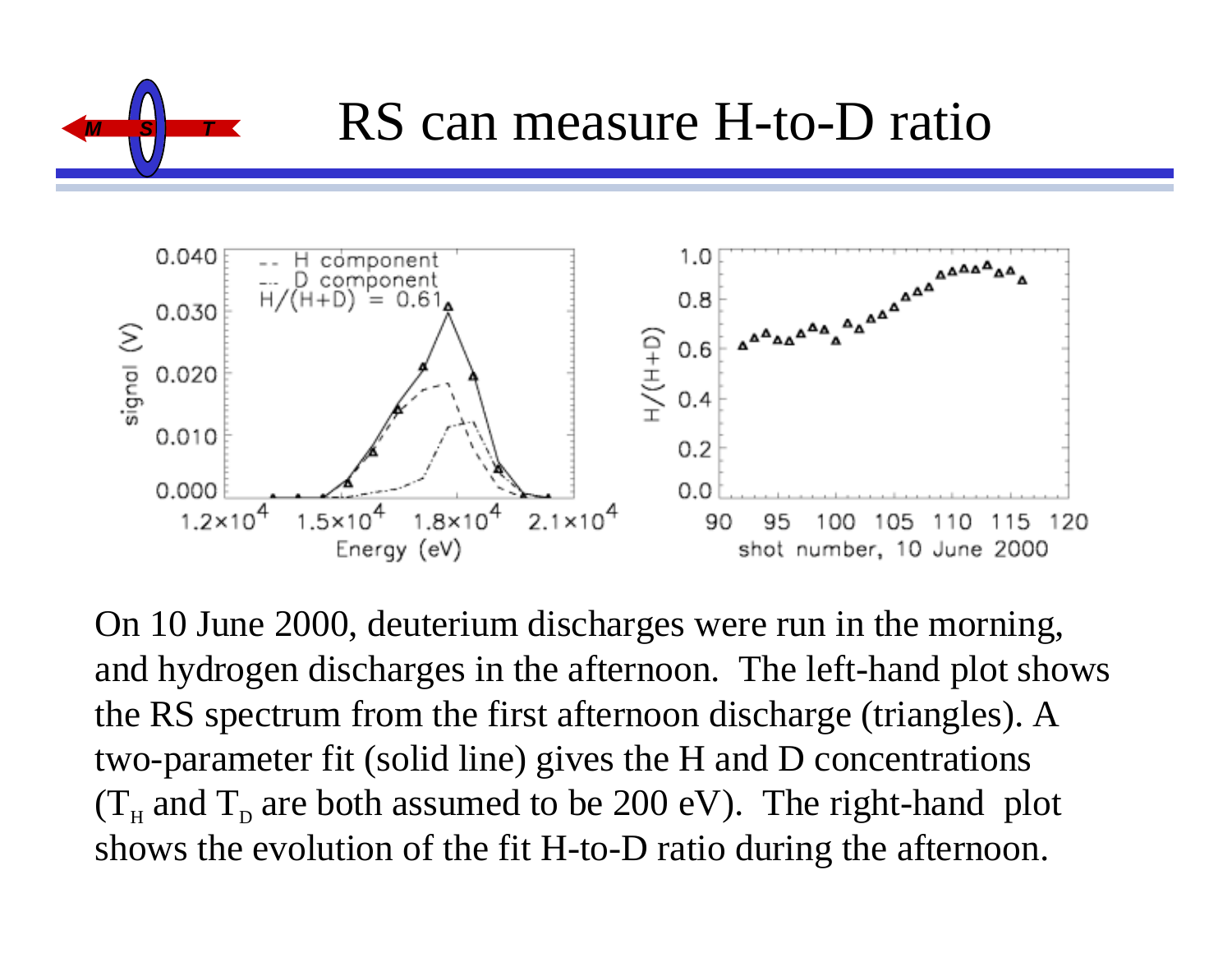



On 10 June 2000, deuterium discharges were run in the morning, and hydrogen discharges in the afternoon. The left-hand plot shows the RS spectrum from the first afternoon discharge (triangles). A two-parameter fit (solid line) gives the H and D concentrations  $(T<sub>H</sub>$  and  $T<sub>D</sub>$  are both assumed to be 200 eV). The right-hand plot shows the evolution of the fit H-to-D ratio during the afternoon.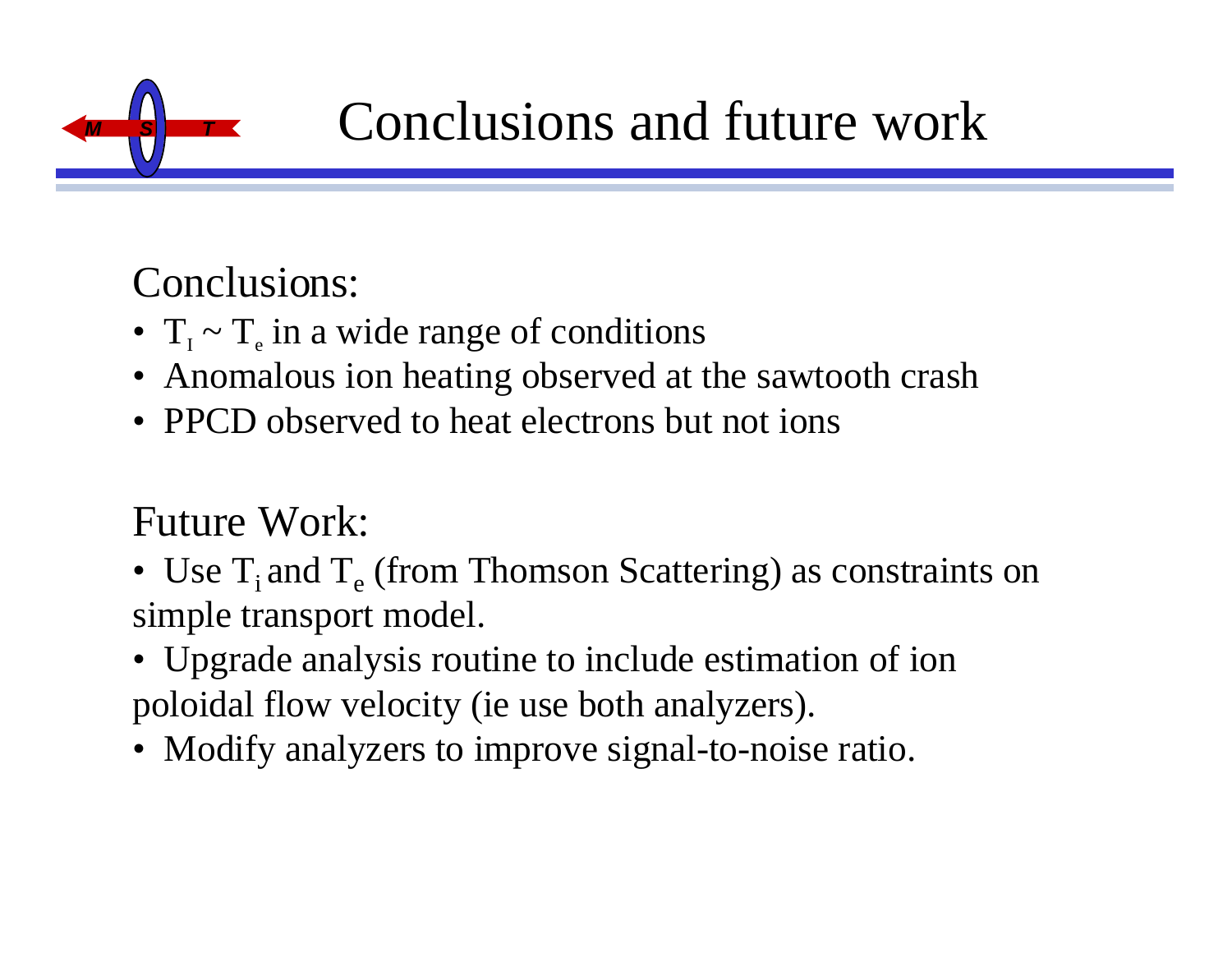

## **Conclusions and future work**

### Conclusions:

- $T_{I} \sim T_{e}$  in a wide range of conditions
- Anomalous ion heating observed at the sawtooth crash
- PPCD observed to heat electrons but not ions

### Future Work:

- Use  $T_i$  and  $T_e$  (from Thomson Scattering) as constraints on simple transport model.
- Upgrade analysis routine to include estimation of ion poloidal flow velocity (ie use both analyzers).
- Modify analyzers to improve signal-to-noise ratio.